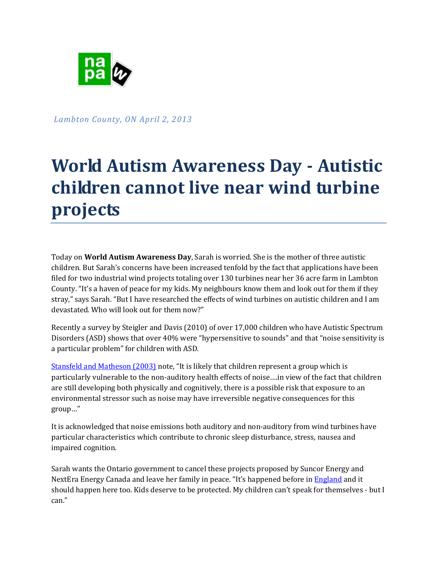

*Lambton County, ON April 2, 2013*

## **World Autism Awareness Day - Autistic children cannot live near wind turbine projects**

Today on **World Autism Awareness Day**, Sarah is worried. She is the mother of three autistic children. But Sarah's concerns have been increased tenfold by the fact that applications have been filed for two industrial wind projects totaling over 130 turbines near her 36 acre farm in Lambton County. "It's a haven of peace for my kids. My neighbours know them and look out for them if they stray," says Sarah. "But I have researched the effects of wind turbines on autistic children and I am devastated. Who will look out for them now?"

Recently a survey by Steigler and Davis (2010) of over 17,000 children who have Autistic Spectrum Disorders (ASD) shows that over 40% were "hypersensitive to sounds" and that "noise sensitivity is a particular problem" for children with ASD.

[Stansfeld and Matheson \(2003\)](http://bmb.oxfordjournals.org/content/68/1/243.full.pdf) note, "It is likely that children represent a group which is particularly vulnerable to the non-auditory health effects of noise….in view of the fact that children are still developing both physically and cognitively, there is a possible risk that exposure to an environmental stressor such as noise may have irreversible negative consequences for this group…"

It is acknowledged that noise emissions both auditory and non-auditory from wind turbines have particular characteristics which contribute to chronic sleep disturbance, stress, nausea and impaired cognition.

Sarah wants the Ontario government to cancel these projects proposed by Suncor Energy and NextEra Energy Canada and leave her family in peace. "It's happened before in [England](http://news.bbc.co.uk/2/hi/uk_news/england/humber/8646326.stm) and it should happen here too. Kids deserve to be protected. My children can't speak for themselves - but I can."